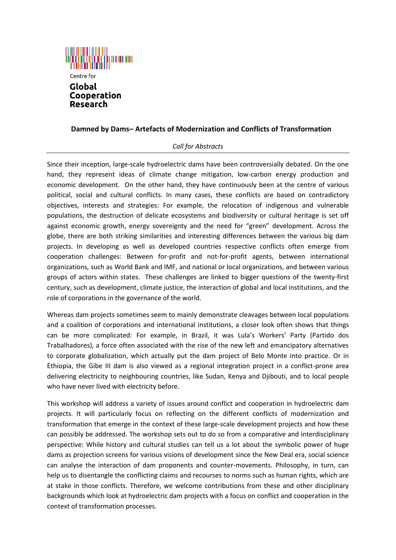

## **Damned by Dams– Artefacts of Modernization and Conflicts of Transformation**

## *Call for Abstracts*

Since their inception, large-scale hydroelectric dams have been controversially debated. On the one hand, they represent ideas of climate change mitigation, low-carbon energy production and economic development. On the other hand, they have continuously been at the centre of various political, social and cultural conflicts. In many cases, these conflicts are based on contradictory objectives, interests and strategies: For example, the relocation of indigenous and vulnerable populations, the destruction of delicate ecosystems and biodiversity or cultural heritage is set off against economic growth, energy sovereignty and the need for "green" development. Across the globe, there are both striking similarities and interesting differences between the various big dam projects. In developing as well as developed countries respective conflicts often emerge from cooperation challenges: Between for-profit and not-for-profit agents, between international organizations, such as World Bank and IMF, and national or local organizations, and between various groups of actors within states. These challenges are linked to bigger questions of the twenty-first century, such as development, climate justice, the interaction of global and local institutions, and the role of corporations in the governance of the world.

Whereas dam projects sometimes seem to mainly demonstrate cleavages between local populations and a coalition of corporations and international institutions, a closer look often shows that things can be more complicated: For example, in Brazil, it was Lula's Workers' Party (Partido dos Trabalhadores), a force often associated with the rise of the new left and emancipatory alternatives to corporate globalization, which actually put the dam project of Belo Monte into practice. Or in Ethiopia, the Gibe III dam is also viewed as a regional integration project in a conflict-prone area delivering electricity to neighbouring countries, like Sudan, Kenya and Djibouti, and to local people who have never lived with electricity before.

This workshop will address a variety of issues around conflict and cooperation in hydroelectric dam projects. It will particularly focus on reflecting on the different conflicts of modernization and transformation that emerge in the context of these large-scale development projects and how these can possibly be addressed. The workshop sets out to do so from a comparative and interdisciplinary perspective: While history and cultural studies can tell us a lot about the symbolic power of huge dams as projection screens for various visions of development since the New Deal era, social science can analyse the interaction of dam proponents and counter-movements. Philosophy, in turn, can help us to disentangle the conflicting claims and recourses to norms such as human rights, which are at stake in those conflicts. Therefore, we welcome contributions from these and other disciplinary backgrounds which look at hydroelectric dam projects with a focus on conflict and cooperation in the context of transformation processes.